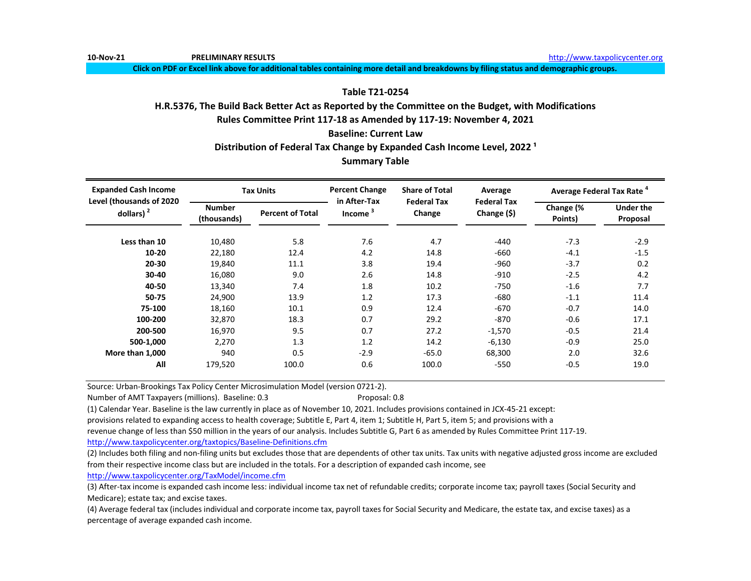**10-Nov-21 PRELIMINARY RESULTS** [http://www.t](http://www.taxpolicycenter.org/)axpolicycenter.org

**Click on PDF or Excel link above for additional tables containing more detail and breakdowns by filing status and demographic groups.**

# **Table T21-0254**

# **H.R.5376, The Build Back Better Act as Reported by the Committee on the Budget, with Modifications**

**Rules Committee Print 117-18 as Amended by 117-19: November 4, 2021**

**Baseline: Current Law**

Distribution of Federal Tax Change by Expanded Cash Income Level, 2022<sup>1</sup>

# **Summary Table**

| <b>Expanded Cash Income</b><br>Level (thousands of 2020 |                              | <b>Tax Units</b>        | <b>Percent Change</b><br>in After-Tax | <b>Share of Total</b>        | Average                              | Average Federal Tax Rate <sup>4</sup> |                              |
|---------------------------------------------------------|------------------------------|-------------------------|---------------------------------------|------------------------------|--------------------------------------|---------------------------------------|------------------------------|
| dollars) $2$                                            | <b>Number</b><br>(thousands) | <b>Percent of Total</b> | Income                                | <b>Federal Tax</b><br>Change | <b>Federal Tax</b><br>Change $($ \$) | Change (%<br>Points)                  | <b>Under the</b><br>Proposal |
| Less than 10                                            | 10,480                       | 5.8                     | 7.6                                   | 4.7                          | $-440$                               | $-7.3$                                | $-2.9$                       |
| $10 - 20$                                               | 22,180                       | 12.4                    | 4.2                                   | 14.8                         | $-660$                               | $-4.1$                                | $-1.5$                       |
| 20-30                                                   | 19.840                       | 11.1                    | 3.8                                   | 19.4                         | $-960$                               | $-3.7$                                | 0.2                          |
| 30-40                                                   | 16,080                       | 9.0                     | 2.6                                   | 14.8                         | $-910$                               | $-2.5$                                | 4.2                          |
| 40-50                                                   | 13,340                       | 7.4                     | 1.8                                   | 10.2                         | $-750$                               | $-1.6$                                | 7.7                          |
| 50-75                                                   | 24,900                       | 13.9                    | 1.2                                   | 17.3                         | $-680$                               | $-1.1$                                | 11.4                         |
| 75-100                                                  | 18,160                       | 10.1                    | 0.9                                   | 12.4                         | $-670$                               | $-0.7$                                | 14.0                         |
| 100-200                                                 | 32.870                       | 18.3                    | 0.7                                   | 29.2                         | $-870$                               | $-0.6$                                | 17.1                         |
| 200-500                                                 | 16.970                       | 9.5                     | 0.7                                   | 27.2                         | $-1,570$                             | $-0.5$                                | 21.4                         |
| 500-1,000                                               | 2,270                        | 1.3                     | 1.2                                   | 14.2                         | $-6,130$                             | $-0.9$                                | 25.0                         |
| More than 1,000                                         | 940                          | 0.5                     | $-2.9$                                | $-65.0$                      | 68,300                               | 2.0                                   | 32.6                         |
| All                                                     | 179,520                      | 100.0                   | 0.6                                   | 100.0                        | $-550$                               | $-0.5$                                | 19.0                         |

Source: Urban-Brookings Tax Policy Center Microsimulation Model (version 0721-2).

Number of AMT Taxpayers (millions). Baseline: 0.3 Proposal: 0.8

(1) Calendar Year. Baseline is the law currently in place as of November 10, 2021. Includes provisions contained in JCX-45-21 except:

provisions related to expanding access to health coverage; Subtitle E, Part 4, item 1; Subtitle H, Part 5, item 5; and provisions with a

revenue change of less than \$50 million in the years of our analysis. Includes Subtitle G, Part 6 as amended by Rules Committee Print 117-19.

[http://www.taxpolicycente](http://www.taxpolicycenter.org/taxtopics/Baseline-Definitions.cfm)r.org/taxtopics/Baseline-Definitions.cfm

(2) Includes both filing and non-filing units but excludes those that are dependents of other tax units. Tax units with negative adjusted gross income are excluded from their respective income class but are included in the totals. For a description of expanded cash income, see

[http://www.taxpolicycente](http://www.taxpolicycenter.org/TaxModel/income.cfm)r.org/TaxModel/income.cfm

(3) After-tax income is expanded cash income less: individual income tax net of refundable credits; corporate income tax; payroll taxes (Social Security and Medicare); estate tax; and excise taxes.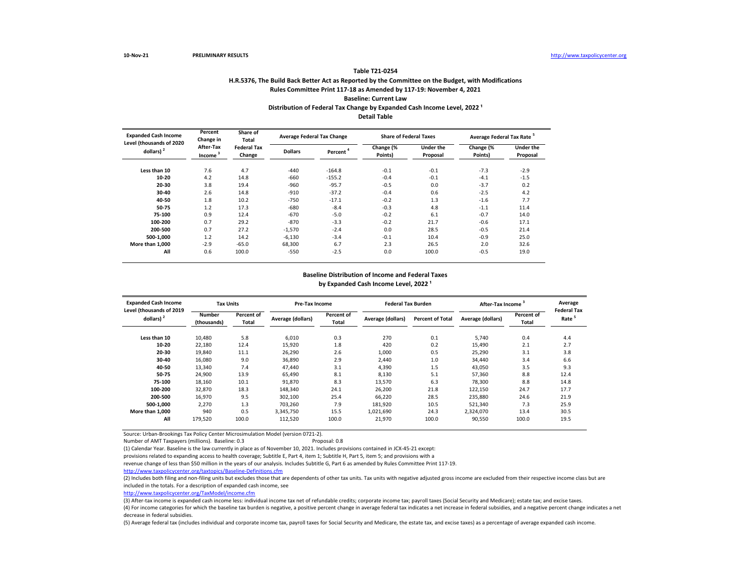## **H.R.5376, The Build Back Better Act as Reported by the Committee on the Budget, with Modifications Rules Committee Print 117-18 as Amended by 117-19: November 4, 2021 Baseline: Current Law Table T21-0254** Distribution of Federal Tax Change by Expanded Cash Income Level, 2022<sup>1</sup> **Detail Table**

| <b>Expanded Cash Income</b><br>Level (thousands of 2020 | Percent<br>Change in             | Share of<br><b>Total</b>     |                | <b>Average Federal Tax Change</b> | <b>Share of Federal Taxes</b> |                              | Average Federal Tax Rate <sup>5</sup> |                              |
|---------------------------------------------------------|----------------------------------|------------------------------|----------------|-----------------------------------|-------------------------------|------------------------------|---------------------------------------|------------------------------|
| dollars) $2$                                            | After-Tax<br>Income <sup>3</sup> | <b>Federal Tax</b><br>Change | <b>Dollars</b> | Percent <sup>4</sup>              | Change (%<br>Points)          | <b>Under the</b><br>Proposal | Change (%<br>Points)                  | <b>Under the</b><br>Proposal |
| Less than 10                                            | 7.6                              | 4.7                          | $-440$         | $-164.8$                          | $-0.1$                        | $-0.1$                       | $-7.3$                                | $-2.9$                       |
| 10-20                                                   | 4.2                              | 14.8                         | $-660$         | $-155.2$                          | $-0.4$                        | $-0.1$                       | $-4.1$                                | $-1.5$                       |
| 20-30                                                   | 3.8                              | 19.4                         | $-960$         | $-95.7$                           | $-0.5$                        | 0.0                          | $-3.7$                                | 0.2                          |
| 30-40                                                   | 2.6                              | 14.8                         | $-910$         | $-37.2$                           | $-0.4$                        | 0.6                          | $-2.5$                                | 4.2                          |
| 40-50                                                   | 1.8                              | 10.2                         | $-750$         | $-17.1$                           | $-0.2$                        | 1.3                          | $-1.6$                                | 7.7                          |
| 50-75                                                   | 1.2                              | 17.3                         | $-680$         | $-8.4$                            | $-0.3$                        | 4.8                          | $-1.1$                                | 11.4                         |
| 75-100                                                  | 0.9                              | 12.4                         | $-670$         | $-5.0$                            | $-0.2$                        | 6.1                          | $-0.7$                                | 14.0                         |
| 100-200                                                 | 0.7                              | 29.2                         | $-870$         | $-3.3$                            | $-0.2$                        | 21.7                         | $-0.6$                                | 17.1                         |
| 200-500                                                 | 0.7                              | 27.2                         | $-1,570$       | $-2.4$                            | 0.0                           | 28.5                         | $-0.5$                                | 21.4                         |
| 500-1.000                                               | 1.2                              | 14.2                         | $-6,130$       | $-3.4$                            | $-0.1$                        | 10.4                         | $-0.9$                                | 25.0                         |
| More than 1.000                                         | $-2.9$                           | $-65.0$                      | 68,300         | 6.7                               | 2.3                           | 26.5                         | 2.0                                   | 32.6                         |
| All                                                     | 0.6                              | 100.0                        | $-550$         | $-2.5$                            | 0.0                           | 100.0                        | $-0.5$                                | 19.0                         |

#### by Expanded Cash Income Level, 2022<sup>1</sup> **Baseline Distribution of Income and Federal Taxes**

| <b>Expanded Cash Income</b><br>Level (thousands of 2019 | <b>Tax Units</b>             |                     | <b>Pre-Tax Income</b> |                            | <b>Federal Tax Burden</b> |                         | After-Tax Income <sup>3</sup> |                     | Average<br><b>Federal Tax</b> |
|---------------------------------------------------------|------------------------------|---------------------|-----------------------|----------------------------|---------------------------|-------------------------|-------------------------------|---------------------|-------------------------------|
| dollars) <sup>2</sup>                                   | <b>Number</b><br>(thousands) | Percent of<br>Total | Average (dollars)     | Percent of<br><b>Total</b> | Average (dollars)         | <b>Percent of Total</b> | Average (dollars)             | Percent of<br>Total | Rate                          |
| Less than 10                                            | 10,480                       | 5.8                 | 6.010                 | 0.3                        | 270                       | 0.1                     | 5.740                         | 0.4                 | 4.4                           |
| 10-20                                                   | 22,180                       | 12.4                | 15,920                | 1.8                        | 420                       | 0.2                     | 15.490                        | 2.1                 | 2.7                           |
| 20-30                                                   | 19,840                       | 11.1                | 26,290                | 2.6                        | 1,000                     | 0.5                     | 25,290                        | 3.1                 | 3.8                           |
| 30-40                                                   | 16.080                       | 9.0                 | 36,890                | 2.9                        | 2.440                     | 1.0                     | 34.440                        | 3.4                 | 6.6                           |
| 40-50                                                   | 13,340                       | 7.4                 | 47,440                | 3.1                        | 4,390                     | 1.5                     | 43,050                        | 3.5                 | 9.3                           |
| 50-75                                                   | 24,900                       | 13.9                | 65,490                | 8.1                        | 8,130                     | 5.1                     | 57,360                        | 8.8                 | 12.4                          |
| 75-100                                                  | 18,160                       | 10.1                | 91,870                | 8.3                        | 13,570                    | 6.3                     | 78,300                        | 8.8                 | 14.8                          |
| 100-200                                                 | 32,870                       | 18.3                | 148,340               | 24.1                       | 26,200                    | 21.8                    | 122,150                       | 24.7                | 17.7                          |
| 200-500                                                 | 16,970                       | 9.5                 | 302,100               | 25.4                       | 66,220                    | 28.5                    | 235,880                       | 24.6                | 21.9                          |
| 500-1.000                                               | 2,270                        | 1.3                 | 703,260               | 7.9                        | 181,920                   | 10.5                    | 521,340                       | 7.3                 | 25.9                          |
| More than 1.000                                         | 940                          | 0.5                 | 3,345,750             | 15.5                       | 1,021,690                 | 24.3                    | 2,324,070                     | 13.4                | 30.5                          |
| All                                                     | 179,520                      | 100.0               | 112,520               | 100.0                      | 21,970                    | 100.0                   | 90,550                        | 100.0               | 19.5                          |

Source: Urban-Brookings Tax Policy Center Microsimulation Model (version 0721-2).

Number of AMT Taxpayers (millions). Baseline: 0.3 Proposal: 0.8

(1) Calendar Year. Baseline is the law currently in place as of November 10, 2021. Includes provisions contained in JCX-45-21 except:

provisions related to expanding access to health coverage; Subtitle E, Part 4, item 1; Subtitle H, Part 5, item 5; and provisions with a

revenue change of less than \$50 million in the years of our analysis. Includes Subtitle G, Part 6 as amended by Rules Committee Print 117-19.

<http://www.taxpolicycenter.org/taxtopics/Baseline-Definitions.cfm>

(2) Includes both filing and non-filing units but excludes those that are dependents of other tax units. Tax units with negative adjusted gross income are excluded from their respective income class but are included in the totals. For a description of expanded cash income, see

[http://www.taxpolicycente](http://www.taxpolicycenter.org/TaxModel/income.cfm)r.org/TaxModel/income.cfm

(3) After-tax income is expanded cash income less: individual income tax net of refundable credits; corporate income tax; payroll taxes (Social Security and Medicare); estate tax; and excise taxes.

(4) For income categories for which the baseline tax burden is negative, a positive percent change in average federal tax indicates a net increase in federal subsidies, and a negative percent change indicates a net decrease in federal subsidies.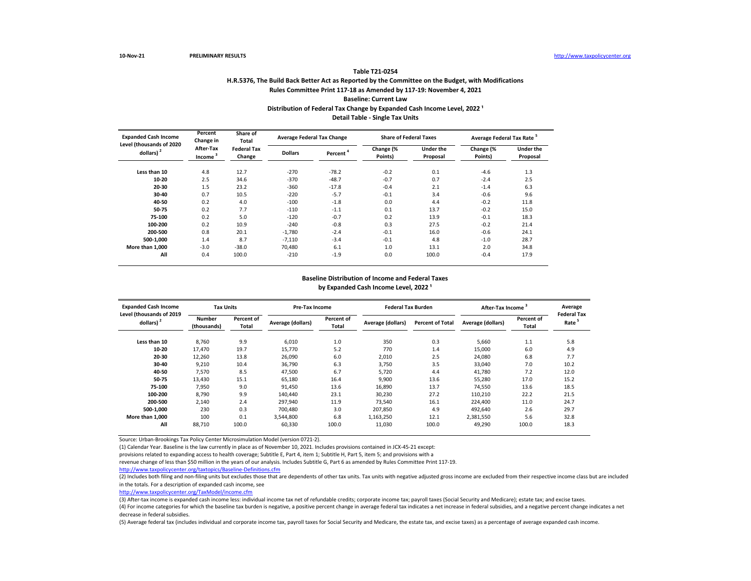## **H.R.5376, The Build Back Better Act as Reported by the Committee on the Budget, with Modifications Rules Committee Print 117-18 as Amended by 117-19: November 4, 2021 Baseline: Current Law Table T21-0254** Distribution of Federal Tax Change by Expanded Cash Income Level, 2022<sup>1</sup> **Detail Table - Single Tax Units**

| <b>Expanded Cash Income</b><br>Level (thousands of 2020 | Percent<br>Change in             | Share of<br>Total            |                | <b>Average Federal Tax Change</b> | <b>Share of Federal Taxes</b> |                              | Average Federal Tax Rate <sup>5</sup> |                              |
|---------------------------------------------------------|----------------------------------|------------------------------|----------------|-----------------------------------|-------------------------------|------------------------------|---------------------------------------|------------------------------|
| dollars) $2$                                            | After-Tax<br>Income <sup>3</sup> | <b>Federal Tax</b><br>Change | <b>Dollars</b> | Percent <sup>*</sup>              | Change (%<br>Points)          | <b>Under the</b><br>Proposal | Change (%<br>Points)                  | <b>Under the</b><br>Proposal |
| Less than 10                                            | 4.8                              | 12.7                         | $-270$         | $-78.2$                           | $-0.2$                        | 0.1                          | $-4.6$                                | 1.3                          |
| 10-20                                                   | 2.5                              | 34.6                         | $-370$         | $-48.7$                           | $-0.7$                        | 0.7                          | $-2.4$                                | 2.5                          |
| 20-30                                                   | 1.5                              | 23.2                         | $-360$         | $-17.8$                           | $-0.4$                        | 2.1                          | $-1.4$                                | 6.3                          |
| 30-40                                                   | 0.7                              | 10.5                         | $-220$         | $-5.7$                            | $-0.1$                        | 3.4                          | $-0.6$                                | 9.6                          |
| 40-50                                                   | 0.2                              | 4.0                          | $-100$         | $-1.8$                            | 0.0                           | 4.4                          | $-0.2$                                | 11.8                         |
| 50-75                                                   | 0.2                              | 7.7                          | $-110$         | $-1.1$                            | 0.1                           | 13.7                         | $-0.2$                                | 15.0                         |
| 75-100                                                  | 0.2                              | 5.0                          | $-120$         | $-0.7$                            | 0.2                           | 13.9                         | $-0.1$                                | 18.3                         |
| 100-200                                                 | 0.2                              | 10.9                         | $-240$         | $-0.8$                            | 0.3                           | 27.5                         | $-0.2$                                | 21.4                         |
| 200-500                                                 | 0.8                              | 20.1                         | $-1.780$       | $-2.4$                            | $-0.1$                        | 16.0                         | $-0.6$                                | 24.1                         |
| 500-1,000                                               | 1.4                              | 8.7                          | $-7,110$       | $-3.4$                            | $-0.1$                        | 4.8                          | $-1.0$                                | 28.7                         |
| More than 1.000                                         | $-3.0$                           | $-38.0$                      | 70,480         | 6.1                               | 1.0                           | 13.1                         | 2.0                                   | 34.8                         |
| All                                                     | 0.4                              | 100.0                        | $-210$         | $-1.9$                            | 0.0                           | 100.0                        | $-0.4$                                | 17.9                         |

### **Baseline Distribution of Income and Federal Taxes** by Expanded Cash Income Level, 2022<sup>1</sup>

| <b>Expanded Cash Income</b><br>Level (thousands of 2019 | <b>Tax Units</b>             |                     | Pre-Tax Income    |                     | <b>Federal Tax Burden</b> |                         | After-Tax Income  |                     | Average<br><b>Federal Tax</b> |
|---------------------------------------------------------|------------------------------|---------------------|-------------------|---------------------|---------------------------|-------------------------|-------------------|---------------------|-------------------------------|
| dollars) <sup>2</sup>                                   | <b>Number</b><br>(thousands) | Percent of<br>Total | Average (dollars) | Percent of<br>Total | Average (dollars)         | <b>Percent of Total</b> | Average (dollars) | Percent of<br>Total | Rate <sup>5</sup>             |
| Less than 10                                            | 8.760                        | 9.9                 | 6.010             | 1.0                 | 350                       | 0.3                     | 5.660             | 1.1                 | 5.8                           |
| 10-20                                                   | 17.470                       | 19.7                | 15.770            | 5.2                 | 770                       | 1.4                     | 15.000            | 6.0                 | 4.9                           |
| 20-30                                                   | 12,260                       | 13.8                | 26,090            | 6.0                 | 2,010                     | 2.5                     | 24.080            | 6.8                 | 7.7                           |
| 30-40                                                   | 9,210                        | 10.4                | 36,790            | 6.3                 | 3,750                     | 3.5                     | 33,040            | 7.0                 | 10.2                          |
| 40-50                                                   | 7,570                        | 8.5                 | 47,500            | 6.7                 | 5,720                     | 4.4                     | 41.780            | 7.2                 | 12.0                          |
| 50-75                                                   | 13,430                       | 15.1                | 65,180            | 16.4                | 9,900                     | 13.6                    | 55,280            | 17.0                | 15.2                          |
| 75-100                                                  | 7,950                        | 9.0                 | 91,450            | 13.6                | 16,890                    | 13.7                    | 74,550            | 13.6                | 18.5                          |
| 100-200                                                 | 8,790                        | 9.9                 | 140,440           | 23.1                | 30,230                    | 27.2                    | 110,210           | 22.2                | 21.5                          |
| 200-500                                                 | 2.140                        | 2.4                 | 297.940           | 11.9                | 73.540                    | 16.1                    | 224.400           | 11.0                | 24.7                          |
| 500-1.000                                               | 230                          | 0.3                 | 700.480           | 3.0                 | 207.850                   | 4.9                     | 492.640           | 2.6                 | 29.7                          |
| More than 1.000                                         | 100                          | 0.1                 | 3,544,800         | 6.8                 | 1,163,250                 | 12.1                    | 2,381,550         | 5.6                 | 32.8                          |
| All                                                     | 88,710                       | 100.0               | 60,330            | 100.0               | 11,030                    | 100.0                   | 49,290            | 100.0               | 18.3                          |

Source: Urban-Brookings Tax Policy Center Microsimulation Model (version 0721-2).

(1) Calendar Year. Baseline is the law currently in place as of November 10, 2021. Includes provisions contained in JCX-45-21 except:

provisions related to expanding access to health coverage; Subtitle E, Part 4, item 1; Subtitle H, Part 5, item 5; and provisions with a

revenue change of less than \$50 million in the years of our analysis. Includes Subtitle G, Part 6 as amended by Rules Committee Print 117-19.

<http://www.taxpolicycenter.org/taxtopics/Baseline-Definitions.cfm>

(2) Includes both filing and non-filing units but excludes those that are dependents of other tax units. Tax units with negative adjusted gross income are excluded from their respective income class but are included in the totals. For a description of expanded cash income, see

[http://www.taxpolicycente](http://www.taxpolicycenter.org/TaxModel/income.cfm)r.org/TaxModel/income.cfm

(3) After-tax income is expanded cash income less: individual income tax net of refundable credits; corporate income tax; payroll taxes (Social Security and Medicare); estate tax; and excise taxes.

(4) For income categories for which the baseline tax burden is negative, a positive percent change in average federal tax indicates a net increase in federal subsidies, and a negative percent change indicates a net decrease in federal subsidies.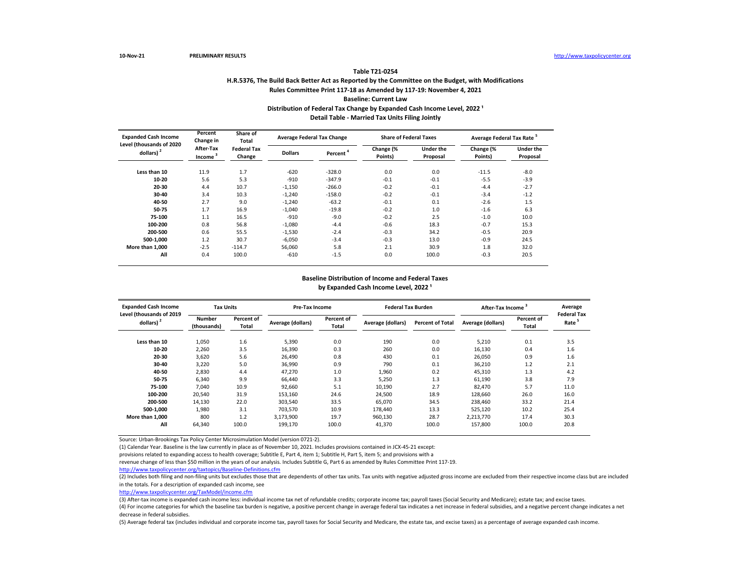## **H.R.5376, The Build Back Better Act as Reported by the Committee on the Budget, with Modifications Rules Committee Print 117-18 as Amended by 117-19: November 4, 2021 Baseline: Current Law Table T21-0254** Distribution of Federal Tax Change by Expanded Cash Income Level, 2022<sup>1</sup> **Detail Table - Married Tax Units Filing Jointly**

| <b>Expanded Cash Income</b>              | Percent<br>Change in             | Share of<br>Total            |                | <b>Average Federal Tax Change</b> | <b>Share of Federal Taxes</b> |                              | Average Federal Tax Rate <sup>5</sup> |                              |
|------------------------------------------|----------------------------------|------------------------------|----------------|-----------------------------------|-------------------------------|------------------------------|---------------------------------------|------------------------------|
| Level (thousands of 2020<br>dollars) $2$ | After-Tax<br>Income <sup>3</sup> | <b>Federal Tax</b><br>Change | <b>Dollars</b> | Percent <sup>'</sup>              | Change (%<br>Points)          | <b>Under the</b><br>Proposal | Change (%<br>Points)                  | <b>Under the</b><br>Proposal |
| Less than 10                             | 11.9                             | 1.7                          | $-620$         | $-328.0$                          | 0.0                           | 0.0                          | $-11.5$                               | $-8.0$                       |
| 10-20                                    | 5.6                              | 5.3                          | $-910$         | $-347.9$                          | $-0.1$                        | $-0.1$                       | $-5.5$                                | $-3.9$                       |
| 20-30                                    | 4.4                              | 10.7                         | $-1,150$       | $-266.0$                          | $-0.2$                        | $-0.1$                       | $-4.4$                                | $-2.7$                       |
| 30-40                                    | 3.4                              | 10.3                         | $-1,240$       | $-158.0$                          | $-0.2$                        | $-0.1$                       | $-3.4$                                | $-1.2$                       |
| 40-50                                    | 2.7                              | 9.0                          | $-1,240$       | $-63.2$                           | $-0.1$                        | 0.1                          | $-2.6$                                | 1.5                          |
| 50-75                                    | 1.7                              | 16.9                         | $-1.040$       | $-19.8$                           | $-0.2$                        | 1.0                          | $-1.6$                                | 6.3                          |
| 75-100                                   | 1.1                              | 16.5                         | $-910$         | $-9.0$                            | $-0.2$                        | 2.5                          | $-1.0$                                | 10.0                         |
| 100-200                                  | 0.8                              | 56.8                         | $-1,080$       | $-4.4$                            | $-0.6$                        | 18.3                         | $-0.7$                                | 15.3                         |
| 200-500                                  | 0.6                              | 55.5                         | $-1.530$       | $-2.4$                            | $-0.3$                        | 34.2                         | $-0.5$                                | 20.9                         |
| 500-1,000                                | 1.2                              | 30.7                         | $-6,050$       | $-3.4$                            | $-0.3$                        | 13.0                         | $-0.9$                                | 24.5                         |
| More than 1.000                          | $-2.5$                           | $-114.7$                     | 56,060         | 5.8                               | 2.1                           | 30.9                         | 1.8                                   | 32.0                         |
| All                                      | 0.4                              | 100.0                        | $-610$         | $-1.5$                            | 0.0                           | 100.0                        | $-0.3$                                | 20.5                         |

### **Baseline Distribution of Income and Federal Taxes** by Expanded Cash Income Level, 2022<sup>1</sup>

| <b>Expanded Cash Income</b><br>Level (thousands of 2019 | <b>Tax Units</b>             |                     | Pre-Tax Income    |                     | <b>Federal Tax Burden</b> |                         | After-Tax Income  |                     | Average<br><b>Federal Tax</b> |
|---------------------------------------------------------|------------------------------|---------------------|-------------------|---------------------|---------------------------|-------------------------|-------------------|---------------------|-------------------------------|
| dollars) <sup>2</sup>                                   | <b>Number</b><br>(thousands) | Percent of<br>Total | Average (dollars) | Percent of<br>Total | Average (dollars)         | <b>Percent of Total</b> | Average (dollars) | Percent of<br>Total | Rate <sup>5</sup>             |
| Less than 10                                            | 1,050                        | 1.6                 | 5,390             | 0.0                 | 190                       | 0.0                     | 5.210             | 0.1                 | 3.5                           |
| 10-20                                                   | 2,260                        | 3.5                 | 16,390            | 0.3                 | 260                       | 0.0                     | 16,130            | 0.4                 | 1.6                           |
| 20-30                                                   | 3,620                        | 5.6                 | 26,490            | 0.8                 | 430                       | 0.1                     | 26.050            | 0.9                 | 1.6                           |
| 30-40                                                   | 3,220                        | 5.0                 | 36,990            | 0.9                 | 790                       | 0.1                     | 36,210            | 1.2                 | 2.1                           |
| 40-50                                                   | 2,830                        | 4.4                 | 47,270            | 1.0                 | 1,960                     | 0.2                     | 45,310            | 1.3                 | 4.2                           |
| 50-75                                                   | 6,340                        | 9.9                 | 66,440            | 3.3                 | 5,250                     | 1.3                     | 61,190            | 3.8                 | 7.9                           |
| 75-100                                                  | 7,040                        | 10.9                | 92,660            | 5.1                 | 10,190                    | 2.7                     | 82.470            | 5.7                 | 11.0                          |
| 100-200                                                 | 20,540                       | 31.9                | 153,160           | 24.6                | 24,500                    | 18.9                    | 128,660           | 26.0                | 16.0                          |
| 200-500                                                 | 14,130                       | 22.0                | 303.540           | 33.5                | 65.070                    | 34.5                    | 238.460           | 33.2                | 21.4                          |
| 500-1.000                                               | 1,980                        | 3.1                 | 703.570           | 10.9                | 178.440                   | 13.3                    | 525.120           | 10.2                | 25.4                          |
| More than 1.000                                         | 800                          | 1.2                 | 3,173,900         | 19.7                | 960,130                   | 28.7                    | 2,213,770         | 17.4                | 30.3                          |
| All                                                     | 64,340                       | 100.0               | 199,170           | 100.0               | 41,370                    | 100.0                   | 157,800           | 100.0               | 20.8                          |

Source: Urban-Brookings Tax Policy Center Microsimulation Model (version 0721-2).

(1) Calendar Year. Baseline is the law currently in place as of November 10, 2021. Includes provisions contained in JCX-45-21 except:

provisions related to expanding access to health coverage; Subtitle E, Part 4, item 1; Subtitle H, Part 5, item 5; and provisions with a

revenue change of less than \$50 million in the years of our analysis. Includes Subtitle G, Part 6 as amended by Rules Committee Print 117-19.

<http://www.taxpolicycenter.org/taxtopics/Baseline-Definitions.cfm>

(2) Includes both filing and non-filing units but excludes those that are dependents of other tax units. Tax units with negative adjusted gross income are excluded from their respective income class but are included in the totals. For a description of expanded cash income, see

[http://www.taxpolicycente](http://www.taxpolicycenter.org/TaxModel/income.cfm)r.org/TaxModel/income.cfm

(3) After-tax income is expanded cash income less: individual income tax net of refundable credits; corporate income tax; payroll taxes (Social Security and Medicare); estate tax; and excise taxes.

(4) For income categories for which the baseline tax burden is negative, a positive percent change in average federal tax indicates a net increase in federal subsidies, and a negative percent change indicates a net decrease in federal subsidies.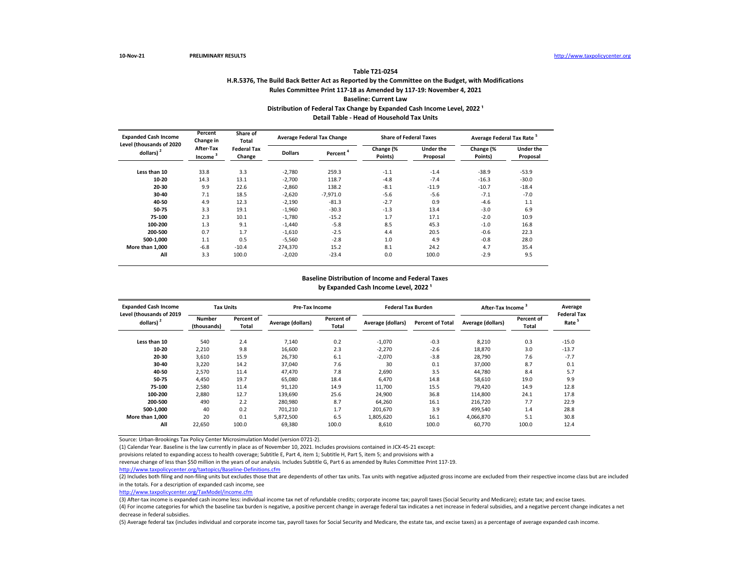## **H.R.5376, The Build Back Better Act as Reported by the Committee on the Budget, with Modifications Rules Committee Print 117-18 as Amended by 117-19: November 4, 2021 Baseline: Current Law Table T21-0254** Distribution of Federal Tax Change by Expanded Cash Income Level, 2022<sup>1</sup> **Detail Table - Head of Household Tax Units**

| <b>Expanded Cash Income</b>              | Percent<br>Change in             | Share of<br>Total            |                | <b>Average Federal Tax Change</b> | <b>Share of Federal Taxes</b> |                              | Average Federal Tax Rate <sup>5</sup> |                              |
|------------------------------------------|----------------------------------|------------------------------|----------------|-----------------------------------|-------------------------------|------------------------------|---------------------------------------|------------------------------|
| Level (thousands of 2020<br>dollars) $2$ | After-Tax<br>Income <sup>3</sup> | <b>Federal Tax</b><br>Change | <b>Dollars</b> | Percent <sup>'</sup>              | Change (%<br>Points)          | <b>Under the</b><br>Proposal | Change (%<br>Points)                  | <b>Under the</b><br>Proposal |
| Less than 10                             | 33.8                             | 3.3                          | $-2,780$       | 259.3                             | $-1.1$                        | $-1.4$                       | $-38.9$                               | $-53.9$                      |
| 10-20                                    | 14.3                             | 13.1                         | $-2,700$       | 118.7                             | $-4.8$                        | $-7.4$                       | $-16.3$                               | $-30.0$                      |
| 20-30                                    | 9.9                              | 22.6                         | $-2,860$       | 138.2                             | $-8.1$                        | $-11.9$                      | $-10.7$                               | $-18.4$                      |
| 30-40                                    | 7.1                              | 18.5                         | $-2,620$       | $-7,971.0$                        | $-5.6$                        | $-5.6$                       | $-7.1$                                | $-7.0$                       |
| 40-50                                    | 4.9                              | 12.3                         | $-2,190$       | $-81.3$                           | $-2.7$                        | 0.9                          | $-4.6$                                | 1.1                          |
| 50-75                                    | 3.3                              | 19.1                         | $-1,960$       | $-30.3$                           | $-1.3$                        | 13.4                         | $-3.0$                                | 6.9                          |
| 75-100                                   | 2.3                              | 10.1                         | $-1,780$       | $-15.2$                           | 1.7                           | 17.1                         | $-2.0$                                | 10.9                         |
| 100-200                                  | 1.3                              | 9.1                          | $-1,440$       | $-5.8$                            | 8.5                           | 45.3                         | $-1.0$                                | 16.8                         |
| 200-500                                  | 0.7                              | 1.7                          | $-1.610$       | $-2.5$                            | 4.4                           | 20.5                         | $-0.6$                                | 22.3                         |
| 500-1,000                                | 1.1                              | 0.5                          | $-5.560$       | $-2.8$                            | 1.0                           | 4.9                          | $-0.8$                                | 28.0                         |
| More than 1.000                          | $-6.8$                           | $-10.4$                      | 274,370        | 15.2                              | 8.1                           | 24.2                         | 4.7                                   | 35.4                         |
| All                                      | 3.3                              | 100.0                        | $-2,020$       | $-23.4$                           | 0.0                           | 100.0                        | $-2.9$                                | 9.5                          |

### **Baseline Distribution of Income and Federal Taxes** by Expanded Cash Income Level, 2022<sup>1</sup>

| <b>Expanded Cash Income</b><br>Level (thousands of 2019 | <b>Tax Units</b>             |                     | <b>Pre-Tax Income</b> |                     | <b>Federal Tax Burden</b> |                         | After-Tax Income  |                     | Average<br><b>Federal Tax</b> |
|---------------------------------------------------------|------------------------------|---------------------|-----------------------|---------------------|---------------------------|-------------------------|-------------------|---------------------|-------------------------------|
| dollars) <sup>2</sup>                                   | <b>Number</b><br>(thousands) | Percent of<br>Total | Average (dollars)     | Percent of<br>Total | Average (dollars)         | <b>Percent of Total</b> | Average (dollars) | Percent of<br>Total | Rate                          |
| Less than 10                                            | 540                          | 2.4                 | 7.140                 | 0.2                 | $-1.070$                  | $-0.3$                  | 8.210             | 0.3                 | $-15.0$                       |
| 10-20                                                   | 2,210                        | 9.8                 | 16,600                | 2.3                 | $-2,270$                  | $-2.6$                  | 18,870            | 3.0                 | $-13.7$                       |
| 20-30                                                   | 3,610                        | 15.9                | 26,730                | 6.1                 | $-2,070$                  | $-3.8$                  | 28,790            | 7.6                 | $-7.7$                        |
| 30-40                                                   | 3,220                        | 14.2                | 37,040                | 7.6                 | 30                        | 0.1                     | 37,000            | 8.7                 | 0.1                           |
| 40-50                                                   | 2,570                        | 11.4                | 47,470                | 7.8                 | 2,690                     | 3.5                     | 44.780            | 8.4                 | 5.7                           |
| 50-75                                                   | 4,450                        | 19.7                | 65,080                | 18.4                | 6,470                     | 14.8                    | 58,610            | 19.0                | 9.9                           |
| 75-100                                                  | 2,580                        | 11.4                | 91,120                | 14.9                | 11,700                    | 15.5                    | 79,420            | 14.9                | 12.8                          |
| 100-200                                                 | 2,880                        | 12.7                | 139,690               | 25.6                | 24,900                    | 36.8                    | 114.800           | 24.1                | 17.8                          |
| 200-500                                                 | 490                          | 2.2                 | 280.980               | 8.7                 | 64.260                    | 16.1                    | 216,720           | 7.7                 | 22.9                          |
| 500-1.000                                               | 40                           | 0.2                 | 701,210               | 1.7                 | 201,670                   | 3.9                     | 499,540           | 1.4                 | 28.8                          |
| More than 1.000                                         | 20                           | 0.1                 | 5,872,500             | 6.5                 | 1,805,620                 | 16.1                    | 4,066,870         | 5.1                 | 30.8                          |
| All                                                     | 22,650                       | 100.0               | 69,380                | 100.0               | 8,610                     | 100.0                   | 60.770            | 100.0               | 12.4                          |

Source: Urban-Brookings Tax Policy Center Microsimulation Model (version 0721-2).

(1) Calendar Year. Baseline is the law currently in place as of November 10, 2021. Includes provisions contained in JCX-45-21 except:

provisions related to expanding access to health coverage; Subtitle E, Part 4, item 1; Subtitle H, Part 5, item 5; and provisions with a

revenue change of less than \$50 million in the years of our analysis. Includes Subtitle G, Part 6 as amended by Rules Committee Print 117-19.

<http://www.taxpolicycenter.org/taxtopics/Baseline-Definitions.cfm>

(2) Includes both filing and non-filing units but excludes those that are dependents of other tax units. Tax units with negative adjusted gross income are excluded from their respective income class but are included in the totals. For a description of expanded cash income, see

[http://www.taxpolicycente](http://www.taxpolicycenter.org/TaxModel/income.cfm)r.org/TaxModel/income.cfm

(3) After-tax income is expanded cash income less: individual income tax net of refundable credits; corporate income tax; payroll taxes (Social Security and Medicare); estate tax; and excise taxes.

(4) For income categories for which the baseline tax burden is negative, a positive percent change in average federal tax indicates a net increase in federal subsidies, and a negative percent change indicates a net decrease in federal subsidies.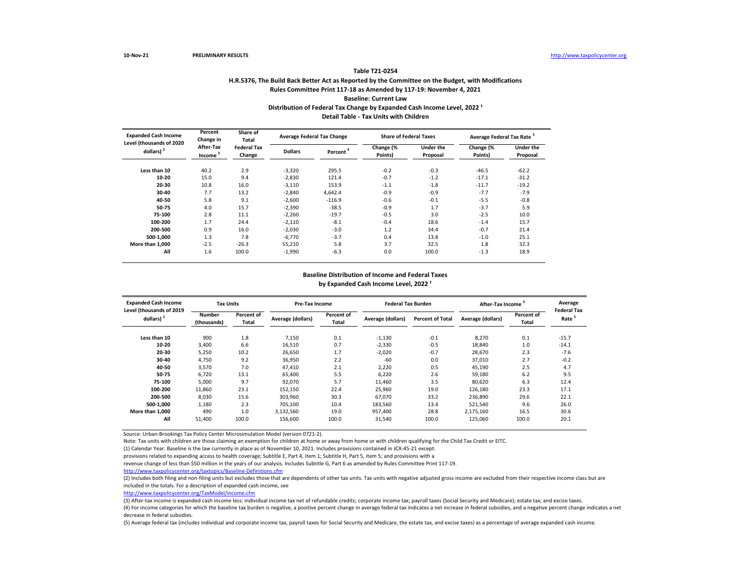## **H.R.5376, The Build Back Better Act as Reported by the Committee on the Budget, with Modifications Rules Committee Print 117-18 as Amended by 117-19: November 4, 2021 Baseline: Current Law Table T21-0254** Distribution of Federal Tax Change by Expanded Cash Income Level, 2022<sup>1</sup> **Detail Table - Tax Units with Children**

| <b>Expanded Cash Income</b><br>Level (thousands of 2020 | Percent<br>Change in             | Share of<br><b>Total</b>     | Average Federal Tax Change |                      | <b>Share of Federal Taxes</b> |                              | Average Federal Tax Rate <sup>5</sup> |                              |
|---------------------------------------------------------|----------------------------------|------------------------------|----------------------------|----------------------|-------------------------------|------------------------------|---------------------------------------|------------------------------|
| dollars) <sup>2</sup>                                   | After-Tax<br>Income <sup>3</sup> | <b>Federal Tax</b><br>Change | <b>Dollars</b>             | Percent <sup>4</sup> | Change (%<br>Points)          | <b>Under the</b><br>Proposal | Change (%<br>Points)                  | <b>Under the</b><br>Proposal |
| Less than 10                                            | 40.2                             | 2.9                          | $-3,320$                   | 295.5                | $-0.2$                        | $-0.3$                       | $-46.5$                               | $-62.2$                      |
| 10-20                                                   | 15.0                             | 9.4                          | $-2,830$                   | 121.4                | $-0.7$                        | $-1.2$                       | $-17.1$                               | $-31.2$                      |
| 20-30                                                   | 10.8                             | 16.0                         | $-3,110$                   | 153.9                | $-1.1$                        | $-1.8$                       | $-11.7$                               | $-19.2$                      |
| 30-40                                                   | 7.7                              | 13.2                         | $-2,840$                   | 4,642.4              | $-0.9$                        | $-0.9$                       | $-7.7$                                | $-7.9$                       |
| 40-50                                                   | 5.8                              | 9.1                          | $-2,600$                   | $-116.9$             | $-0.6$                        | $-0.1$                       | $-5.5$                                | $-0.8$                       |
| 50-75                                                   | 4.0                              | 15.7                         | $-2,390$                   | $-38.5$              | $-0.9$                        | 1.7                          | $-3.7$                                | 5.9                          |
| 75-100                                                  | 2.8                              | 11.1                         | $-2,260$                   | $-19.7$              | $-0.5$                        | 3.0                          | $-2.5$                                | 10.0                         |
| 100-200                                                 | 1.7                              | 24.4                         | $-2,110$                   | $-8.1$               | $-0.4$                        | 18.6                         | $-1.4$                                | 15.7                         |
| 200-500                                                 | 0.9                              | 16.0                         | $-2,030$                   | $-3.0$               | 1.2                           | 34.4                         | $-0.7$                                | 21.4                         |
| 500-1.000                                               | 1.3                              | 7.8                          | $-6,770$                   | $-3.7$               | 0.4                           | 13.8                         | $-1.0$                                | 25.1                         |
| More than 1.000                                         | $-2.5$                           | $-26.3$                      | 55,210                     | 5.8                  | 3.7                           | 32.5                         | 1.8                                   | 32.3                         |
| All                                                     | 1.6                              | 100.0                        | $-1,990$                   | $-6.3$               | 0.0                           | 100.0                        | $-1.3$                                | 18.9                         |

#### **Baseline Distribution of Income and Federal Taxes** by Expanded Cash Income Level, 2022<sup>1</sup>

| <b>Expanded Cash Income</b>                       | <b>Tax Units</b>             |                     | <b>Pre-Tax Income</b> |                            | <b>Federal Tax Burden</b> |                         | After-Tax Income <sup>3</sup> |                     | Average                                 |
|---------------------------------------------------|------------------------------|---------------------|-----------------------|----------------------------|---------------------------|-------------------------|-------------------------------|---------------------|-----------------------------------------|
| Level (thousands of 2019<br>dollars) <sup>2</sup> | <b>Number</b><br>(thousands) | Percent of<br>Total | Average (dollars)     | Percent of<br><b>Total</b> | Average (dollars)         | <b>Percent of Total</b> | Average (dollars)             | Percent of<br>Total | <b>Federal Tax</b><br>Rate <sup>5</sup> |
| Less than 10                                      | 900                          | 1.8                 | 7,150                 | 0.1                        | $-1,130$                  | $-0.1$                  | 8,270                         | 0.1                 | $-15.7$                                 |
| $10 - 20$                                         | 3,400                        | 6.6                 | 16,510                | 0.7                        | $-2,330$                  | $-0.5$                  | 18,840                        | 1.0                 | $-14.1$                                 |
| 20-30                                             | 5,250                        | 10.2                | 26,650                | 1.7                        | $-2,020$                  | $-0.7$                  | 28,670                        | 2.3                 | $-7.6$                                  |
| 30-40                                             | 4,750                        | 9.2                 | 36,950                | 2.2                        | $-60$                     | 0.0                     | 37,010                        | 2.7                 | $-0.2$                                  |
| 40-50                                             | 3,570                        | 7.0                 | 47,410                | 2.1                        | 2,220                     | 0.5                     | 45,190                        | 2.5                 | 4.7                                     |
| 50-75                                             | 6,720                        | 13.1                | 65,400                | 5.5                        | 6,220                     | 2.6                     | 59,180                        | 6.2                 | 9.5                                     |
| 75-100                                            | 5,000                        | 9.7                 | 92,070                | 5.7                        | 11,460                    | 3.5                     | 80.620                        | 6.3                 | 12.4                                    |
| 100-200                                           | 11,860                       | 23.1                | 152,150               | 22.4                       | 25,960                    | 19.0                    | 126,180                       | 23.3                | 17.1                                    |
| 200-500                                           | 8,030                        | 15.6                | 303,960               | 30.3                       | 67.070                    | 33.2                    | 236,890                       | 29.6                | 22.1                                    |
| 500-1.000                                         | 1,180                        | 2.3                 | 705.100               | 10.4                       | 183,560                   | 13.4                    | 521,540                       | 9.6                 | 26.0                                    |
| More than 1.000                                   | 490                          | 1.0                 | 3,132,560             | 19.0                       | 957.400                   | 28.8                    | 2,175,160                     | 16.5                | 30.6                                    |
| All                                               | 51,400                       | 100.0               | 156,600               | 100.0                      | 31,540                    | 100.0                   | 125,060                       | 100.0               | 20.1                                    |

Source: Urban-Brookings Tax Policy Center Microsimulation Model (version 0721-2).

Note: Tax units with children are those claiming an exemption for children at home or away from home or with children qualifying for the Child Tax Credit or EITC.

(1) Calendar Year. Baseline is the law currently in place as of November 10, 2021. Includes provisions contained in JCX-45-21 except:

provisions related to expanding access to health coverage; Subtitle E, Part 4, item 1; Subtitle H, Part 5, item 5; and provisions with a

revenue change of less than \$50 million in the years of our analysis. Includes Subtitle G, Part 6 as amended by Rules Committee Print 117-19.

<http://www.taxpolicycenter.org/taxtopics/Baseline-Definitions.cfm>

(2) Includes both filing and non-filing units but excludes those that are dependents of other tax units. Tax units with negative adjusted gross income are excluded from their respective income class but are included in the totals. For a description of expanded cash income, see

[http://www.taxpolicycente](http://www.taxpolicycenter.org/TaxModel/income.cfm)r.org/TaxModel/income.cfm

(3) After-tax income is expanded cash income less: individual income tax net of refundable credits; corporate income tax; payroll taxes (Social Security and Medicare); estate tax; and excise taxes.

(4) For income categories for which the baseline tax burden is negative, a positive percent change in average federal tax indicates a net increase in federal subsidies, and a negative percent change indicates a net decrease in federal subsidies.